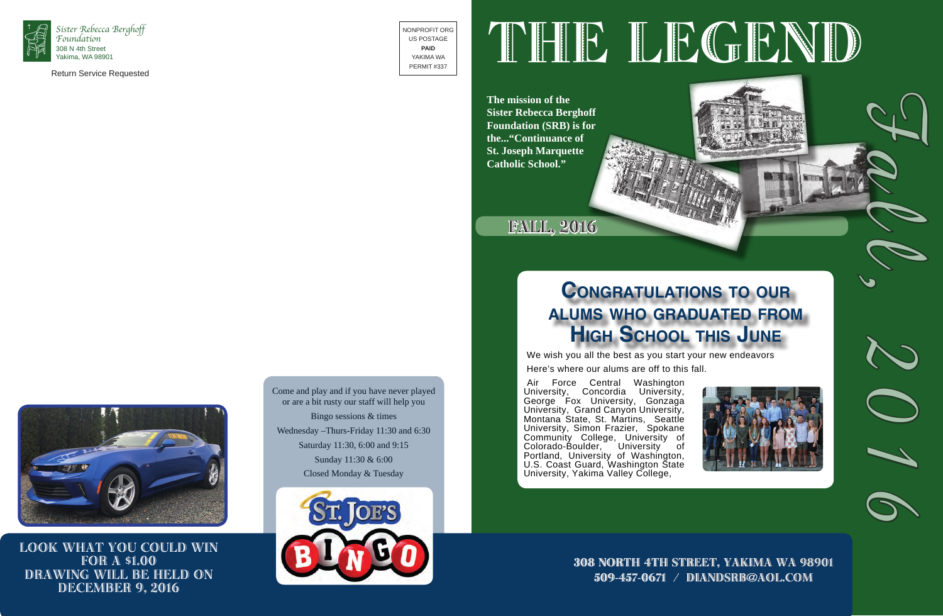

Return Service Requested

NONPROFIT ORG US POSTAGE **PAID** YAKIMA WA PERMIT #337

# THE LEGEND

**The mission of the Sister Rebecca Berghoff Foundation (SRB) is for the..."Continuance of St. Joseph Marquette Catholic School."**



fall, 2016

308 North 4th street, Yakima wa 98901 509-457-0671 / diandsrb@aol.com





Come and play and if you have never played or are a bit rusty our staff will help you Bingo sessions & times Wednesday –Thurs-Friday 11:30 and 6:30 Saturday 11:30, 6:00 and 9:15 Sunday 11:30 & 6:00 Closed Monday & Tuesday







## **Congratulations to our alums who graduated from High School this June**

We wish you all the best as you start your new endeavors



Look what you could win **FOR A \$1.00** Drawing will be held on DECEMBER 9, 2016

Air Force Central Washington University, Concordia University, George Fox University, Gonzaga University, Grand Canyon University, Montana State, St. Martins, Seattle University, Simon Frazier, Spokane Community College, University of Colorado-Boulder, University of Portland, University of Washington, U.S. Coast Guard, Washington State University, Yakima Valley College,

We wish you all the best as you start your new endeavors

Here's where our alums are off to this fall.